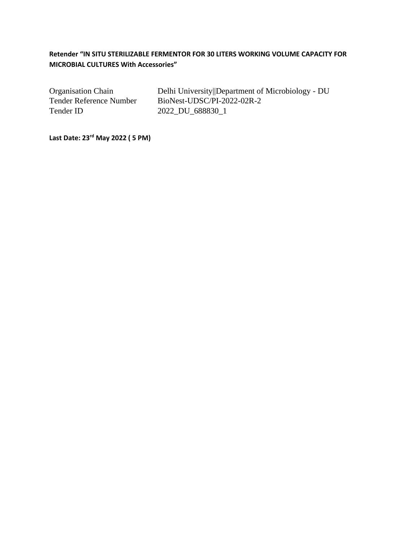# **Retender "IN SITU STERILIZABLE FERMENTOR FOR 30 LITERS WORKING VOLUME CAPACITY FOR MICROBIAL CULTURES With Accessories"**

Tender ID 2022\_DU\_688830\_1

Organisation Chain Delhi University||Department of Microbiology - DU Tender Reference Number BioNest-UDSC/PI-2022-02R-2

**Last Date: 23rd May 2022 ( 5 PM)**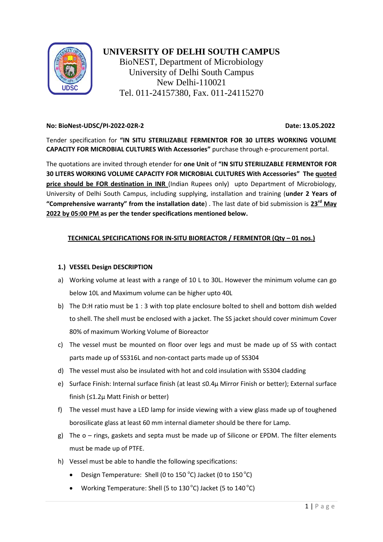

# **UNIVERSITY OF DELHI SOUTH CAMPUS**

BioNEST, Department of Microbiology University of Delhi South Campus New Delhi-110021 Tel. 011-24157380, Fax. 011-24115270

## **No: BioNest-UDSC/PI-2022-02R-2 Date: 13.05.2022**

Tender specification for **"IN SITU STERILIZABLE FERMENTOR FOR 30 LITERS WORKING VOLUME CAPACITY FOR MICROBIAL CULTURES With Accessories"** purchase through e-procurement portal.

The quotations are invited through etender for **one Unit** of **"IN SITU STERILIZABLE FERMENTOR FOR 30 LITERS WORKING VOLUME CAPACITY FOR MICROBIAL CULTURES With Accessories" The quoted price should be FOR destination in INR** (Indian Rupees only) upto Department of Microbiology, University of Delhi South Campus, including supplying, installation and training (**under 2 Years of "Comprehensive warranty" from the installation date**) . The last date of bid submission is **23rd May 2022 by 05:00 PM as per the tender specifications mentioned below.** 

# **TECHNICAL SPECIFICATIONS FOR IN-SITU BIOREACTOR / FERMENTOR (Qty – 01 nos.)**

# **1.) VESSEL Design DESCRIPTION**

- a) Working volume at least with a range of 10 L to 30L. However the minimum volume can go below 10L and Maximum volume can be higher upto 40L
- b) The D:H ratio must be 1 : 3 with top plate enclosure bolted to shell and bottom dish welded to shell. The shell must be enclosed with a jacket. The SS jacket should cover minimum Cover 80% of maximum Working Volume of Bioreactor
- c) The vessel must be mounted on floor over legs and must be made up of SS with contact parts made up of SS316L and non-contact parts made up of SS304
- d) The vessel must also be insulated with hot and cold insulation with SS304 cladding
- e) Surface Finish: Internal surface finish (at least ≤0.4μ Mirror Finish or better); External surface finish (≤1.2μ Matt Finish or better)
- f) The vessel must have a LED lamp for inside viewing with a view glass made up of toughened borosilicate glass at least 60 mm internal diameter should be there for Lamp.
- g) The o rings, gaskets and septa must be made up of Silicone or EPDM. The filter elements must be made up of PTFE.
- h) Vessel must be able to handle the following specifications:
	- Design Temperature: Shell (0 to 150  $^{\circ}$ C) Jacket (0 to 150  $^{\circ}$ C)
	- Working Temperature: Shell (5 to 130 $^{\circ}$ C) Jacket (5 to 140 $^{\circ}$ C)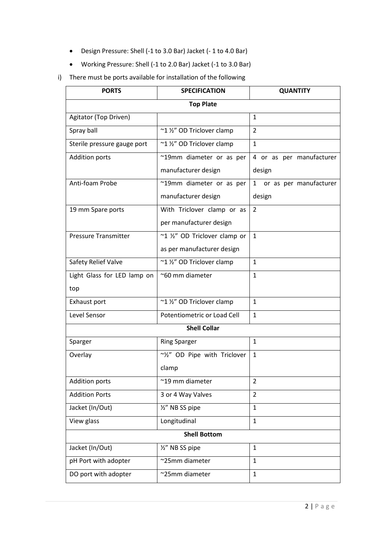- Design Pressure: Shell (-1 to 3.0 Bar) Jacket (- 1 to 4.0 Bar)
- Working Pressure: Shell (-1 to 2.0 Bar) Jacket (-1 to 3.0 Bar)
- i) There must be ports available for installation of the following

| <b>PORTS</b>                | <b>SPECIFICATION</b>          | <b>QUANTITY</b>          |
|-----------------------------|-------------------------------|--------------------------|
| <b>Top Plate</b>            |                               |                          |
| Agitator (Top Driven)       |                               | 1                        |
| Spray ball                  | ~1 1/2" OD Triclover clamp    | $\overline{2}$           |
| Sterile pressure gauge port | ~1 1/2" OD Triclover clamp    | $\mathbf{1}$             |
| <b>Addition ports</b>       | ~19mm diameter or as per      | 4 or as per manufacturer |
|                             | manufacturer design           | design                   |
| Anti-foam Probe             | ~19mm diameter or as per      | 1 or as per manufacturer |
|                             | manufacturer design           | design                   |
| 19 mm Spare ports           | With Triclover clamp or as    | 2                        |
|                             | per manufacturer design       |                          |
| <b>Pressure Transmitter</b> | ~1 1/2" OD Triclover clamp or | $\mathbf{1}$             |
|                             | as per manufacturer design    |                          |
| Safety Relief Valve         | ~1 1/2" OD Triclover clamp    | $\mathbf{1}$             |
| Light Glass for LED lamp on | ~60 mm diameter               | 1                        |
| top                         |                               |                          |
| Exhaust port                | ~1 1/2" OD Triclover clamp    | $\mathbf{1}$             |
| Level Sensor                | Potentiometric or Load Cell   | $\mathbf{1}$             |
| <b>Shell Collar</b>         |                               |                          |
| Sparger                     | <b>Ring Sparger</b>           | $\mathbf{1}$             |
| Overlay                     | ~1/2" OD Pipe with Triclover  | $\mathbf{1}$             |
|                             | clamp                         |                          |
| <b>Addition ports</b>       | ~19 mm diameter               | 2                        |
| <b>Addition Ports</b>       | 3 or 4 Way Valves             | $\overline{2}$           |
| Jacket (In/Out)             | 1/2" NB SS pipe               | $\mathbf{1}$             |
| View glass                  | Longitudinal                  | $\mathbf{1}$             |
| <b>Shell Bottom</b>         |                               |                          |
| Jacket (In/Out)             | 1/2" NB SS pipe               | $\mathbf{1}$             |
| pH Port with adopter        | ~25mm diameter                | $\mathbf{1}$             |
| DO port with adopter        | ~25mm diameter                | $\mathbf{1}$             |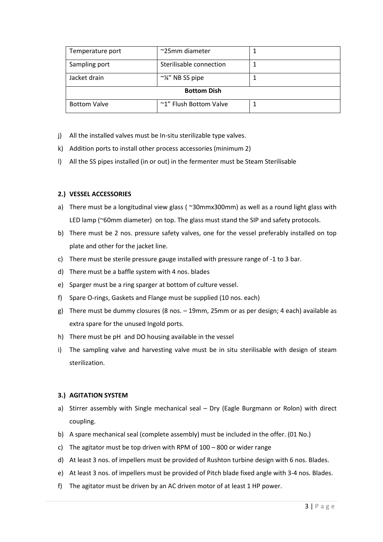| Temperature port    | ~25mm diameter          |  |
|---------------------|-------------------------|--|
| Sampling port       | Sterilisable connection |  |
| Jacket drain        | $\sim$ ¼" NB SS pipe    |  |
| <b>Bottom Dish</b>  |                         |  |
| <b>Bottom Valve</b> | ~1" Flush Bottom Valve  |  |

- j) All the installed valves must be In-situ sterilizable type valves.
- k) Addition ports to install other process accessories (minimum 2)
- l) All the SS pipes installed (in or out) in the fermenter must be Steam Sterilisable

## **2.) VESSEL ACCESSORIES**

- a) There must be a longitudinal view glass (~30mmx300mm) as well as a round light glass with LED lamp (~60mm diameter) on top. The glass must stand the SIP and safety protocols.
- b) There must be 2 nos. pressure safety valves, one for the vessel preferably installed on top plate and other for the jacket line.
- c) There must be sterile pressure gauge installed with pressure range of -1 to 3 bar.
- d) There must be a baffle system with 4 nos. blades
- e) Sparger must be a ring sparger at bottom of culture vessel.
- f) Spare O-rings, Gaskets and Flange must be supplied (10 nos. each)
- g) There must be dummy closures (8 nos. 19mm, 25mm or as per design; 4 each) available as extra spare for the unused Ingold ports.
- h) There must be pH and DO housing available in the vessel
- i) The sampling valve and harvesting valve must be in situ sterilisable with design of steam sterilization.

#### **3.) AGITATION SYSTEM**

- a) Stirrer assembly with Single mechanical seal Dry (Eagle Burgmann or Rolon) with direct coupling.
- b) A spare mechanical seal (complete assembly) must be included in the offer. (01 No.)
- c) The agitator must be top driven with RPM of 100 800 or wider range
- d) At least 3 nos. of impellers must be provided of Rushton turbine design with 6 nos. Blades.
- e) At least 3 nos. of impellers must be provided of Pitch blade fixed angle with 3-4 nos. Blades.
- f) The agitator must be driven by an AC driven motor of at least 1 HP power.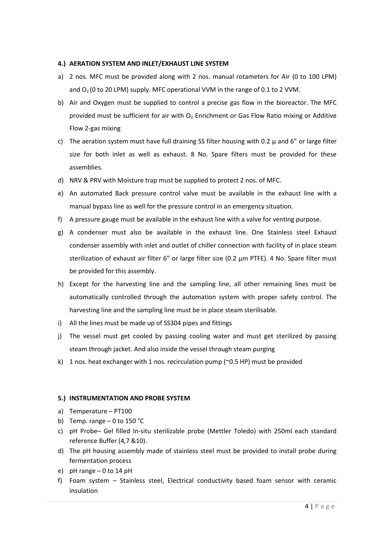#### **4.) AERATION SYSTEM AND INLET/EXHAUST LINE SYSTEM**

- a) 2 nos. MFC must be provided along with 2 nos. manual rotameters for Air (0 to 100 LPM) and  $O<sub>2</sub>$  (0 to 20 LPM) supply. MFC operational VVM in the range of 0.1 to 2 VVM.
- b) Air and Oxygen must be supplied to control a precise gas flow in the bioreactor. The MFC provided must be sufficient for air with  $O_2$  Enrichment or Gas Flow Ratio mixing or Additive Flow 2-gas mixing
- c) The aeration system must have full draining SS filter housing with 0.2  $\mu$  and 6" or large filter size for both inlet as well as exhaust. 8 No. Spare filters must be provided for these assemblies.
- d) NRV & PRV with Moisture trap must be supplied to protect 2 nos. of MFC.
- e) An automated Back pressure control valve must be available in the exhaust line with a manual bypass line as well for the pressure control in an emergency situation.
- f) A pressure gauge must be available in the exhaust line with a valve for venting purpose.
- g) A condenser must also be available in the exhaust line. One Stainless steel Exhaust condenser assembly with inlet and outlet of chiller connection with facility of in place steam sterilization of exhaust air filter 6" or large filter size (0.2 μm PTFE). 4 No. Spare filter must be provided for this assembly.
- h) Except for the harvesting line and the sampling line, all other remaining lines must be automatically controlled through the automation system with proper safety control. The harvesting line and the sampling line must be in place steam sterilisable.
- i) All the lines must be made up of SS304 pipes and fittings
- j) The vessel must get cooled by passing cooling water and must get sterilized by passing steam through jacket. And also inside the vessel through steam purging
- k) 1 nos. heat exchanger with 1 nos. recirculation pump ( $\degree$ 0.5 HP) must be provided

#### **5.) INSTRUMENTATION AND PROBE SYSTEM**

- a) Temperature PT100
- b) Temp. range  $-0$  to 150 °C
- c) pH Probe– Gel filled In-situ sterilizable probe (Mettler Toledo) with 250ml each standard reference Buffer (4,7 &10).
- d) The pH housing assembly made of stainless steel must be provided to install probe during fermentation process
- e) pH range 0 to 14 pH
- f) Foam system Stainless steel, Electrical conductivity based foam sensor with ceramic insulation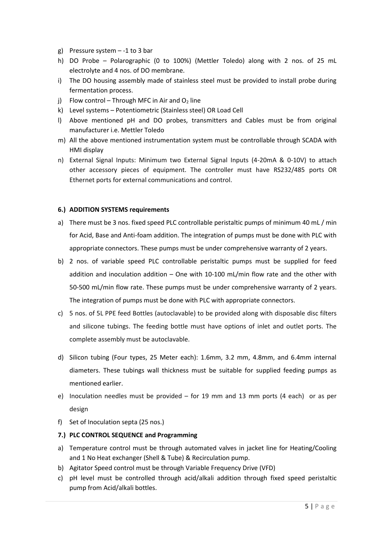- g) Pressure system  $-1$  to 3 bar
- h) DO Probe Polarographic (0 to 100%) (Mettler Toledo) along with 2 nos. of 25 mL electrolyte and 4 nos. of DO membrane.
- i) The DO housing assembly made of stainless steel must be provided to install probe during fermentation process.
- j) Flow control Through MFC in Air and  $O<sub>2</sub>$  line
- k) Level systems Potentiometric (Stainless steel) OR Load Cell
- l) Above mentioned pH and DO probes, transmitters and Cables must be from original manufacturer i.e. Mettler Toledo
- m) All the above mentioned instrumentation system must be controllable through SCADA with HMI display
- n) External Signal Inputs: Minimum two External Signal Inputs (4-20mA & 0-10V) to attach other accessory pieces of equipment. The controller must have RS232/485 ports OR Ethernet ports for external communications and control.

# **6.) ADDITION SYSTEMS requirements**

- a) There must be 3 nos. fixed speed PLC controllable peristaltic pumps of minimum 40 mL / min for Acid, Base and Anti-foam addition. The integration of pumps must be done with PLC with appropriate connectors. These pumps must be under comprehensive warranty of 2 years.
- b) 2 nos. of variable speed PLC controllable peristaltic pumps must be supplied for feed addition and inoculation addition – One with 10-100 mL/min flow rate and the other with 50-500 mL/min flow rate. These pumps must be under comprehensive warranty of 2 years. The integration of pumps must be done with PLC with appropriate connectors.
- c) 5 nos. of 5L PPE feed Bottles (autoclavable) to be provided along with disposable disc filters and silicone tubings. The feeding bottle must have options of inlet and outlet ports. The complete assembly must be autoclavable.
- d) Silicon tubing (Four types, 25 Meter each): 1.6mm, 3.2 mm, 4.8mm, and 6.4mm internal diameters. These tubings wall thickness must be suitable for supplied feeding pumps as mentioned earlier.
- e) Inoculation needles must be provided for 19 mm and 13 mm ports (4 each) or as per design
- f) Set of Inoculation septa (25 nos.)
- **7.) PLC CONTROL SEQUENCE and Programming**
- a) Temperature control must be through automated valves in jacket line for Heating/Cooling and 1 No Heat exchanger (Shell & Tube) & Recirculation pump.
- b) Agitator Speed control must be through Variable Frequency Drive (VFD)
- c) pH level must be controlled through acid/alkali addition through fixed speed peristaltic pump from Acid/alkali bottles.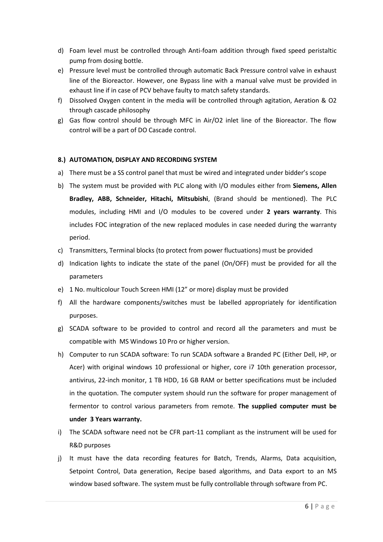- d) Foam level must be controlled through Anti-foam addition through fixed speed peristaltic pump from dosing bottle.
- e) Pressure level must be controlled through automatic Back Pressure control valve in exhaust line of the Bioreactor. However, one Bypass line with a manual valve must be provided in exhaust line if in case of PCV behave faulty to match safety standards.
- f) Dissolved Oxygen content in the media will be controlled through agitation, Aeration & O2 through cascade philosophy
- g) Gas flow control should be through MFC in Air/O2 inlet line of the Bioreactor. The flow control will be a part of DO Cascade control.

## **8.) AUTOMATION, DISPLAY AND RECORDING SYSTEM**

- a) There must be a SS control panel that must be wired and integrated under bidder's scope
- b) The system must be provided with PLC along with I/O modules either from **Siemens, Allen Bradley, ABB, Schneider, Hitachi, Mitsubishi**, (Brand should be mentioned). The PLC modules, including HMI and I/O modules to be covered under **2 years warranty**. This includes FOC integration of the new replaced modules in case needed during the warranty period.
- c) Transmitters, Terminal blocks (to protect from power fluctuations) must be provided
- d) Indication lights to indicate the state of the panel (On/OFF) must be provided for all the parameters
- e) 1 No. multicolour Touch Screen HMI (12" or more) display must be provided
- f) All the hardware components/switches must be labelled appropriately for identification purposes.
- g) SCADA software to be provided to control and record all the parameters and must be compatible with MS Windows 10 Pro or higher version.
- h) Computer to run SCADA software: To run SCADA software a Branded PC (Either Dell, HP, or Acer) with original windows 10 professional or higher, core i7 10th generation processor, antivirus, 22-inch monitor, 1 TB HDD, 16 GB RAM or better specifications must be included in the quotation. The computer system should run the software for proper management of fermentor to control various parameters from remote. **The supplied computer must be under 3 Years warranty.**
- i) The SCADA software need not be CFR part-11 compliant as the instrument will be used for R&D purposes
- j) It must have the data recording features for Batch, Trends, Alarms, Data acquisition, Setpoint Control, Data generation, Recipe based algorithms, and Data export to an MS window based software. The system must be fully controllable through software from PC.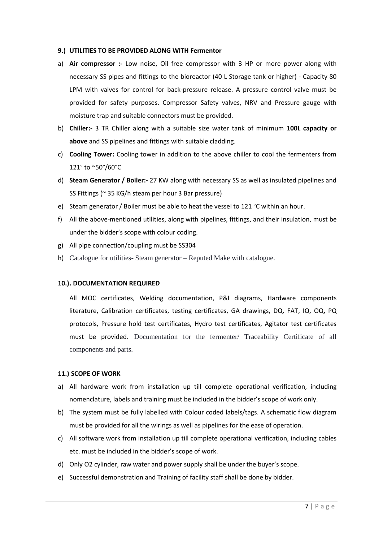#### **9.) UTILITIES TO BE PROVIDED ALONG WITH Fermentor**

- a) **Air compressor :-** Low noise, Oil free compressor with 3 HP or more power along with necessary SS pipes and fittings to the bioreactor (40 L Storage tank or higher) - Capacity 80 LPM with valves for control for back-pressure release. A pressure control valve must be provided for safety purposes. Compressor Safety valves, NRV and Pressure gauge with moisture trap and suitable connectors must be provided.
- b) **Chiller:-** 3 TR Chiller along with a suitable size water tank of minimum **100L capacity or above** and SS pipelines and fittings with suitable cladding.
- c) **Cooling Tower:** Cooling tower in addition to the above chiller to cool the fermenters from 121° to ~50°/60°C
- d) **Steam Generator / Boiler:-** 27 KW along with necessary SS as well as insulated pipelines and SS Fittings (~ 35 KG/h steam per hour 3 Bar pressure)
- e) Steam generator / Boiler must be able to heat the vessel to 121 °C within an hour.
- f) All the above-mentioned utilities, along with pipelines, fittings, and their insulation, must be under the bidder's scope with colour coding.
- g) All pipe connection/coupling must be SS304
- h) Catalogue for utilities- Steam generator Reputed Make with catalogue.

#### **10.). DOCUMENTATION REQUIRED**

All MOC certificates, Welding documentation, P&I diagrams, Hardware components literature, Calibration certificates, testing certificates, GA drawings, DQ, FAT, IQ, OQ, PQ protocols, Pressure hold test certificates, Hydro test certificates, Agitator test certificates must be provided. Documentation for the fermenter/ Traceability Certificate of all components and parts.

#### **11.) SCOPE OF WORK**

- a) All hardware work from installation up till complete operational verification, including nomenclature, labels and training must be included in the bidder's scope of work only.
- b) The system must be fully labelled with Colour coded labels/tags. A schematic flow diagram must be provided for all the wirings as well as pipelines for the ease of operation.
- c) All software work from installation up till complete operational verification, including cables etc. must be included in the bidder's scope of work.
- d) Only O2 cylinder, raw water and power supply shall be under the buyer's scope.
- e) Successful demonstration and Training of facility staff shall be done by bidder.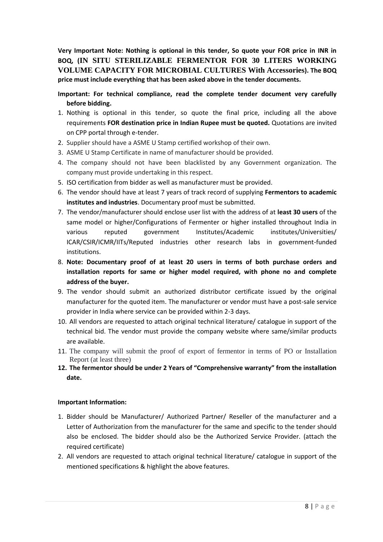**Very Important Note: Nothing is optional in this tender, So quote your FOR price in INR in BOQ, (IN SITU STERILIZABLE FERMENTOR FOR 30 LITERS WORKING VOLUME CAPACITY FOR MICROBIAL CULTURES With Accessories). The BOQ price must include everything that has been asked above in the tender documents.** 

**Important: For technical compliance, read the complete tender document very carefully before bidding.**

- 1. Nothing is optional in this tender, so quote the final price, including all the above requirements **FOR destination price in Indian Rupee must be quoted.** Quotations are invited on CPP portal through e-tender.
- 2. Supplier should have a ASME U Stamp certified workshop of their own.
- 3. ASME U Stamp Certificate in name of manufacturer should be provided.
- 4. The company should not have been blacklisted by any Government organization. The company must provide undertaking in this respect.
- 5. ISO certification from bidder as well as manufacturer must be provided.
- 6. The vendor should have at least 7 years of track record of supplying **Fermentors to academic institutes and industries**. Documentary proof must be submitted.
- 7. The vendor/manufacturer should enclose user list with the address of at **least 30 users** of the same model or higher/Configurations of Fermenter or higher installed throughout India in various reputed government Institutes/Academic institutes/Universities/ ICAR/CSIR/ICMR/IITs/Reputed industries other research labs in government-funded institutions.
- 8. **Note: Documentary proof of at least 20 users in terms of both purchase orders and installation reports for same or higher model required, with phone no and complete address of the buyer.**
- 9. The vendor should submit an authorized distributor certificate issued by the original manufacturer for the quoted item. The manufacturer or vendor must have a post-sale service provider in India where service can be provided within 2-3 days.
- 10. All vendors are requested to attach original technical literature/ catalogue in support of the technical bid. The vendor must provide the company website where same/similar products are available.
- 11. The company will submit the proof of export of fermentor in terms of PO or Installation Report (at least three)
- **12. The fermentor should be under 2 Years of "Comprehensive warranty" from the installation date.**

# **Important Information:**

- 1. Bidder should be Manufacturer/ Authorized Partner/ Reseller of the manufacturer and a Letter of Authorization from the manufacturer for the same and specific to the tender should also be enclosed. The bidder should also be the Authorized Service Provider. (attach the required certificate)
- 2. All vendors are requested to attach original technical literature/ catalogue in support of the mentioned specifications & highlight the above features.